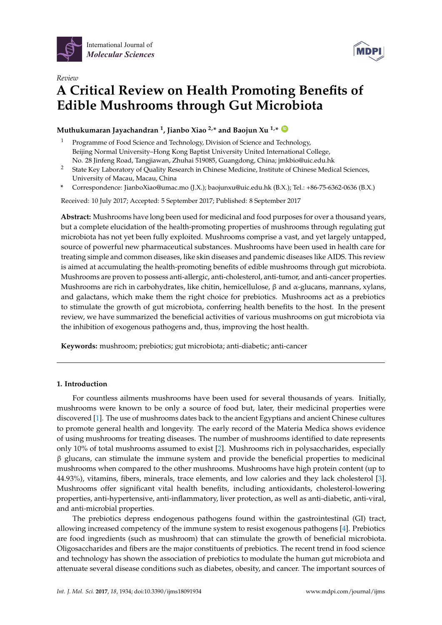

*Review*



# **A Critical Review on Health Promoting Benefits of Edible Mushrooms through Gut Microbiota**

**Muthukumaran Jayachandran <sup>1</sup> , Jianbo Xiao 2,\* and Baojun Xu 1,\* [ID](https://orcid.org/0000-0003-0739-3735)**

- Programme of Food Science and Technology, Division of Science and Technology, Beijing Normal University–Hong Kong Baptist University United International College, No. 28 Jinfeng Road, Tangjiawan, Zhuhai 519085, Guangdong, China; jmkbio@uic.edu.hk
- <sup>2</sup> State Key Laboratory of Quality Research in Chinese Medicine, Institute of Chinese Medical Sciences, University of Macau, Macau, China
- **\*** Correspondence: JianboXiao@umac.mo (J.X.); baojunxu@uic.edu.hk (B.X.); Tel.: +86-75-6362-0636 (B.X.)

Received: 10 July 2017; Accepted: 5 September 2017; Published: 8 September 2017

**Abstract:** Mushrooms have long been used for medicinal and food purposes for over a thousand years, but a complete elucidation of the health-promoting properties of mushrooms through regulating gut microbiota has not yet been fully exploited. Mushrooms comprise a vast, and yet largely untapped, source of powerful new pharmaceutical substances. Mushrooms have been used in health care for treating simple and common diseases, like skin diseases and pandemic diseases like AIDS. This review is aimed at accumulating the health-promoting benefits of edible mushrooms through gut microbiota. Mushrooms are proven to possess anti-allergic, anti-cholesterol, anti-tumor, and anti-cancer properties. Mushrooms are rich in carbohydrates, like chitin, hemicellulose, β and  $\alpha$ -glucans, mannans, xylans, and galactans, which make them the right choice for prebiotics. Mushrooms act as a prebiotics to stimulate the growth of gut microbiota, conferring health benefits to the host. In the present review, we have summarized the beneficial activities of various mushrooms on gut microbiota via the inhibition of exogenous pathogens and, thus, improving the host health.

**Keywords:** mushroom; prebiotics; gut microbiota; anti-diabetic; anti-cancer

# **1. Introduction**

For countless ailments mushrooms have been used for several thousands of years. Initially, mushrooms were known to be only a source of food but, later, their medicinal properties were discovered [\[1\]](#page-8-0). The use of mushrooms dates back to the ancient Egyptians and ancient Chinese cultures to promote general health and longevity. The early record of the Materia Medica shows evidence of using mushrooms for treating diseases. The number of mushrooms identified to date represents only 10% of total mushrooms assumed to exist [\[2\]](#page-8-1). Mushrooms rich in polysaccharides, especially  $\beta$  glucans, can stimulate the immune system and provide the beneficial properties to medicinal mushrooms when compared to the other mushrooms. Mushrooms have high protein content (up to 44.93%), vitamins, fibers, minerals, trace elements, and low calories and they lack cholesterol [\[3\]](#page-8-2). Mushrooms offer significant vital health benefits, including antioxidants, cholesterol-lowering properties, anti-hypertensive, anti-inflammatory, liver protection, as well as anti-diabetic, anti-viral, and anti-microbial properties.

The prebiotics depress endogenous pathogens found within the gastrointestinal (GI) tract, allowing increased competency of the immune system to resist exogenous pathogens [\[4\]](#page-8-3). Prebiotics are food ingredients (such as mushroom) that can stimulate the growth of beneficial microbiota. Oligosaccharides and fibers are the major constituents of prebiotics. The recent trend in food science and technology has shown the association of prebiotics to modulate the human gut microbiota and attenuate several disease conditions such as diabetes, obesity, and cancer. The important sources of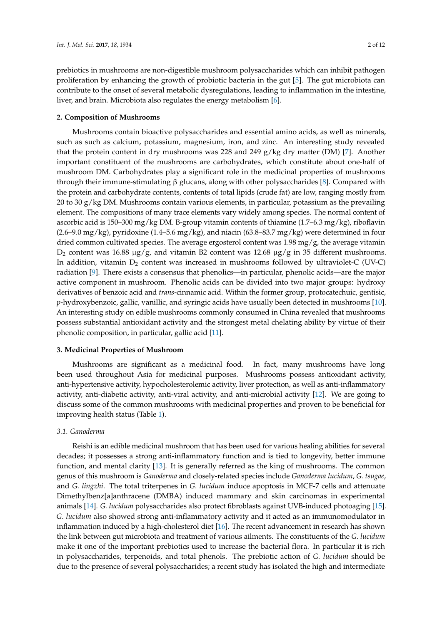prebiotics in mushrooms are non-digestible mushroom polysaccharides which can inhibit pathogen proliferation by enhancing the growth of probiotic bacteria in the gut [\[5\]](#page-8-4). The gut microbiota can contribute to the onset of several metabolic dysregulations, leading to inflammation in the intestine, liver, and brain. Microbiota also regulates the energy metabolism [\[6\]](#page-8-5).

#### **2. Composition of Mushrooms**

Mushrooms contain bioactive polysaccharides and essential amino acids, as well as minerals, such as such as calcium, potassium, magnesium, iron, and zinc. An interesting study revealed that the protein content in dry mushrooms was 228 and 249  $g/kg$  dry matter (DM) [\[7\]](#page-8-6). Another important constituent of the mushrooms are carbohydrates, which constitute about one-half of mushroom DM. Carbohydrates play a significant role in the medicinal properties of mushrooms through their immune-stimulating β glucans, along with other polysaccharides [\[8\]](#page-8-7). Compared with the protein and carbohydrate contents, contents of total lipids (crude fat) are low, ranging mostly from 20 to 30 g/kg DM. Mushrooms contain various elements, in particular, potassium as the prevailing element. The compositions of many trace elements vary widely among species. The normal content of ascorbic acid is 150–300 mg/kg DM. B-group vitamin contents of thiamine (1.7–6.3 mg/kg), riboflavin  $(2.6-9.0 \text{ mg/kg})$ , pyridoxine  $(1.4-5.6 \text{ mg/kg})$ , and niacin  $(63.8-83.7 \text{ mg/kg})$  were determined in four dried common cultivated species. The average ergosterol content was 1.98 mg/g, the average vitamin D<sub>2</sub> content was 16.88  $\mu$ g/g, and vitamin B2 content was 12.68  $\mu$ g/g in 35 different mushrooms. In addition, vitamin  $D_2$  content was increased in mushrooms followed by ultraviolet-C (UV-C) radiation [\[9\]](#page-8-8). There exists a consensus that phenolics—in particular, phenolic acids—are the major active component in mushroom. Phenolic acids can be divided into two major groups: hydroxy derivatives of benzoic acid and *trans*-cinnamic acid. Within the former group, protocatechuic, gentisic, *p*-hydroxybenzoic, gallic, vanillic, and syringic acids have usually been detected in mushrooms [\[10\]](#page-8-9). An interesting study on edible mushrooms commonly consumed in China revealed that mushrooms possess substantial antioxidant activity and the strongest metal chelating ability by virtue of their phenolic composition, in particular, gallic acid [\[11\]](#page-8-10).

## **3. Medicinal Properties of Mushroom**

Mushrooms are significant as a medicinal food. In fact, many mushrooms have long been used throughout Asia for medicinal purposes. Mushrooms possess antioxidant activity, anti-hypertensive activity, hypocholesterolemic activity, liver protection, as well as anti-inflammatory activity, anti-diabetic activity, anti-viral activity, and anti-microbial activity [\[12\]](#page-8-11). We are going to discuss some of the common mushrooms with medicinal properties and proven to be beneficial for improving health status (Table [1\)](#page-7-0).

# *3.1. Ganoderma*

Reishi is an edible medicinal mushroom that has been used for various healing abilities for several decades; it possesses a strong anti-inflammatory function and is tied to longevity, better immune function, and mental clarity [\[13\]](#page-8-12). It is generally referred as the king of mushrooms. The common genus of this mushroom is *Ganoderma* and closely-related species include *Ganoderma lucidum*, *G. tsugae*, and *G. lingzhi*. The total triterpenes in *G. lucidum* induce apoptosis in MCF-7 cells and attenuate Dimethylbenz[a]anthracene (DMBA) induced mammary and skin carcinomas in experimental animals [\[14\]](#page-8-13). *G. lucidum* polysaccharides also protect fibroblasts against UVB-induced photoaging [\[15\]](#page-9-0). *G. lucidum* also showed strong anti-inflammatory activity and it acted as an immunomodulator in inflammation induced by a high-cholesterol diet [\[16\]](#page-9-1). The recent advancement in research has shown the link between gut microbiota and treatment of various ailments. The constituents of the *G. lucidum* make it one of the important prebiotics used to increase the bacterial flora. In particular it is rich in polysaccharides, terpenoids, and total phenols. The prebiotic action of *G. lucidum* should be due to the presence of several polysaccharides; a recent study has isolated the high and intermediate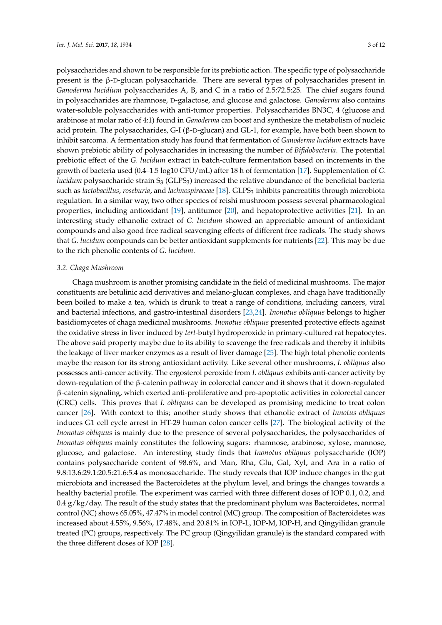polysaccharides and shown to be responsible for its prebiotic action. The specific type of polysaccharide present is the β-D-glucan polysaccharide. There are several types of polysaccharides present in *Ganoderma lucidium* polysaccharides A, B, and C in a ratio of 2.5:72.5:25. The chief sugars found in polysaccharides are rhamnose, D-galactose, and glucose and galactose. *Ganoderma* also contains water-soluble polysaccharides with anti-tumor properties. Polysaccharides BN3C, 4 (glucose and arabinose at molar ratio of 4:1) found in *Ganoderma* can boost and synthesize the metabolism of nucleic acid protein. The polysaccharides, G-I (β-D-glucan) and GL-1, for example, have both been shown to inhibit sarcoma. A fermentation study has found that fermentation of *Ganoderma lucidum* extracts have shown prebiotic ability of polysaccharides in increasing the number of *Bifidobacteria*. The potential prebiotic effect of the *G. lucidum* extract in batch-culture fermentation based on increments in the growth of bacteria used (0.4–1.5 log10 CFU/mL) after 18 h of fermentation [\[17\]](#page-9-2). Supplementation of *G. lucidum* polysaccharide strain S<sub>3</sub> (GLPS<sub>3</sub>) increased the relative abundance of the beneficial bacteria such as *lactobacillus*, *roseburia*, and *lachnospiraceae* [\[18\]](#page-9-3). GLPS<sup>3</sup> inhibits pancreatitis through microbiota regulation. In a similar way, two other species of reishi mushroom possess several pharmacological properties, including antioxidant [\[19\]](#page-9-4), antitumor [\[20\]](#page-9-5), and hepatoprotective activities [\[21\]](#page-9-6). In an interesting study ethanolic extract of *G. lucidum* showed an appreciable amount of antioxidant compounds and also good free radical scavenging effects of different free radicals. The study shows that *G. lucidum* compounds can be better antioxidant supplements for nutrients [\[22\]](#page-9-7). This may be due to the rich phenolic contents of *G. lucidum*.

#### *3.2. Chaga Mushroom*

Chaga mushroom is another promising candidate in the field of medicinal mushrooms. The major constituents are betulinic acid derivatives and melano-glucan complexes, and chaga have traditionally been boiled to make a tea, which is drunk to treat a range of conditions, including cancers, viral and bacterial infections, and gastro-intestinal disorders [\[23,](#page-9-8)[24\]](#page-9-9). *Inonotus obliquus* belongs to higher basidiomycetes of chaga medicinal mushrooms. *Inonotus obliquus* presented protective effects against the oxidative stress in liver induced by *tert*-butyl hydroperoxide in primary-cultured rat hepatocytes. The above said property maybe due to its ability to scavenge the free radicals and thereby it inhibits the leakage of liver marker enzymes as a result of liver damage [\[25\]](#page-9-10). The high total phenolic contents maybe the reason for its strong antioxidant activity. Like several other mushrooms, *I. obliquus* also possesses anti-cancer activity. The ergosterol peroxide from *I. obliquus* exhibits anti-cancer activity by down-regulation of the β-catenin pathway in colorectal cancer and it shows that it down-regulated β-catenin signaling, which exerted anti-proliferative and pro-apoptotic activities in colorectal cancer (CRC) cells. This proves that *I. obliquus* can be developed as promising medicine to treat colon cancer [\[26\]](#page-9-11). With context to this; another study shows that ethanolic extract of *Innotus obliquus* induces G1 cell cycle arrest in HT-29 human colon cancer cells [\[27\]](#page-9-12). The biological activity of the *Inonotus obliquus* is mainly due to the presence of several polysaccharides, the polysaccharides of *Inonotus obliquus* mainly constitutes the following sugars: rhamnose, arabinose, xylose, mannose, glucose, and galactose. An interesting study finds that *Inonotus obliquus* polysaccharide (IOP) contains polysaccharide content of 98.6%, and Man, Rha, Glu, Gal, Xyl, and Ara in a ratio of 9.8:13.6:29.1:20.5:21.6:5.4 as monosaccharide. The study reveals that IOP induce changes in the gut microbiota and increased the Bacteroidetes at the phylum level, and brings the changes towards a healthy bacterial profile. The experiment was carried with three different doses of IOP 0.1, 0.2, and  $0.4$  g/kg/day. The result of the study states that the predominant phylum was Bacteroidetes, normal control (NC) shows 65.05%, 47.47% in model control (MC) group. The composition of Bacteroidetes was increased about 4.55%, 9.56%, 17.48%, and 20.81% in IOP-L, IOP-M, IOP-H, and Qingyilidan granule treated (PC) groups, respectively. The PC group (Qingyilidan granule) is the standard compared with the three different doses of IOP [\[28\]](#page-9-13).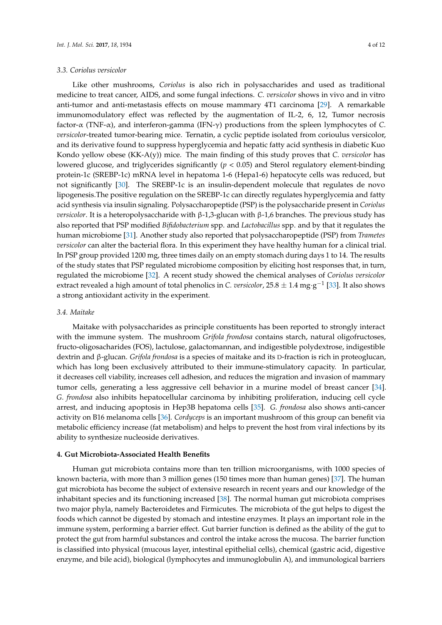Like other mushrooms, *Coriolus* is also rich in polysaccharides and used as traditional medicine to treat cancer, AIDS, and some fungal infections. *C. versicolor* shows in vivo and in vitro anti-tumor and anti-metastasis effects on mouse mammary 4T1 carcinoma [\[29\]](#page-9-14). A remarkable immunomodulatory effect was reflected by the augmentation of IL-2, 6, 12, Tumor necrosis factor-α (TNF-α), and interferon-gamma (IFN-γ) productions from the spleen lymphocytes of *C. versicolor*-treated tumor-bearing mice. Ternatin, a cyclic peptide isolated from corioulus versicolor, and its derivative found to suppress hyperglycemia and hepatic fatty acid synthesis in diabetic Kuo Kondo yellow obese (KK-A(y)) mice. The main finding of this study proves that *C. versicolor* has lowered glucose, and triglycerides significantly (*p* < 0.05) and Sterol regulatory element-binding protein-1c (SREBP-1c) mRNA level in hepatoma 1-6 (Hepa1-6) hepatocyte cells was reduced, but not significantly [\[30\]](#page-9-15). The SREBP-1c is an insulin-dependent molecule that regulates de novo lipogenesis.The positive regulation on the SREBP-1c can directly regulates hyperglycemia and fatty acid synthesis via insulin signaling. Polysaccharopeptide (PSP) is the polysaccharide present in *Coriolus versicolor*. It is a heteropolysaccharide with β-1,3-glucan with β-1,6 branches. The previous study has also reported that PSP modified *Bifidobacterium* spp. and *Lactobacillus* spp. and by that it regulates the human microbiome [\[31\]](#page-9-16). Another study also reported that polysaccharopeptide (PSP) from *Trametes versicolor* can alter the bacterial flora. In this experiment they have healthy human for a clinical trial. In PSP group provided 1200 mg, three times daily on an empty stomach during days 1 to 14. The results of the study states that PSP regulated microbiome composition by eliciting host responses that, in turn, regulated the microbiome [\[32\]](#page-9-17). A recent study showed the chemical analyses of *Coriolus versicolor* extract revealed a high amount of total phenolics in *C. versicolor,* 25.8  $\pm$  1.4 mg·g<sup>-1</sup> [\[33\]](#page-9-18). It also shows a strong antioxidant activity in the experiment.

#### *3.4. Maitake*

Maitake with polysaccharides as principle constituents has been reported to strongly interact with the immune system. The mushroom *Grifola frondosa* contains starch, natural oligofructoses, fructo-oligosacharides (FOS), lactulose, galactomannan, and indigestible polydextrose, indigestible dextrin and β-glucan. *Grifola frondosa* is a species of maitake and its D-fraction is rich in proteoglucan, which has long been exclusively attributed to their immune-stimulatory capacity. In particular, it decreases cell viability, increases cell adhesion, and reduces the migration and invasion of mammary tumor cells, generating a less aggressive cell behavior in a murine model of breast cancer [\[34\]](#page-10-0). *G. frondosa* also inhibits hepatocellular carcinoma by inhibiting proliferation, inducing cell cycle arrest, and inducing apoptosis in Hep3B hepatoma cells [\[35\]](#page-10-1). *G. frondosa* also shows anti-cancer activity on B16 melanoma cells [\[36\]](#page-10-2). *Cordyceps* is an important mushroom of this group can benefit via metabolic efficiency increase (fat metabolism) and helps to prevent the host from viral infections by its ability to synthesize nucleoside derivatives.

#### **4. Gut Microbiota-Associated Health Benefits**

Human gut microbiota contains more than ten trillion microorganisms, with 1000 species of known bacteria, with more than 3 million genes (150 times more than human genes) [\[37\]](#page-10-3). The human gut microbiota has become the subject of extensive research in recent years and our knowledge of the inhabitant species and its functioning increased [\[38\]](#page-10-4). The normal human gut microbiota comprises two major phyla, namely Bacteroidetes and Firmicutes. The microbiota of the gut helps to digest the foods which cannot be digested by stomach and intestine enzymes. It plays an important role in the immune system, performing a barrier effect. Gut barrier function is defined as the ability of the gut to protect the gut from harmful substances and control the intake across the mucosa. The barrier function is classified into physical (mucous layer, intestinal epithelial cells), chemical (gastric acid, digestive enzyme, and bile acid), biological (lymphocytes and immunoglobulin A), and immunological barriers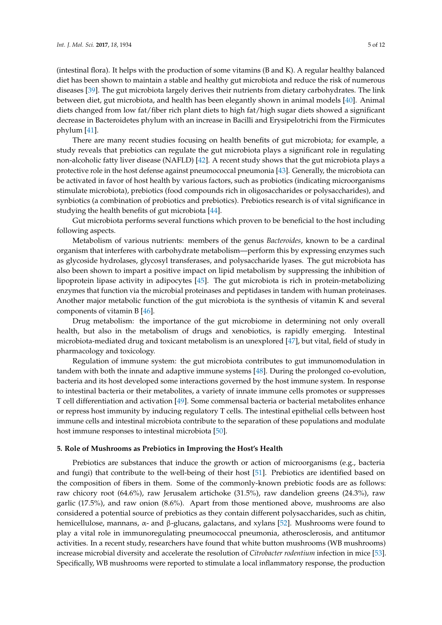(intestinal flora). It helps with the production of some vitamins (B and K). A regular healthy balanced diet has been shown to maintain a stable and healthy gut microbiota and reduce the risk of numerous diseases [\[39\]](#page-10-5). The gut microbiota largely derives their nutrients from dietary carbohydrates. The link between diet, gut microbiota, and health has been elegantly shown in animal models [\[40\]](#page-10-6). Animal diets changed from low fat/fiber rich plant diets to high fat/high sugar diets showed a significant decrease in Bacteroidetes phylum with an increase in Bacilli and Erysipelotrichi from the Firmicutes phylum [\[41\]](#page-10-7).

There are many recent studies focusing on health benefits of gut microbiota; for example, a study reveals that prebiotics can regulate the gut microbiota plays a significant role in regulating non-alcoholic fatty liver disease (NAFLD) [\[42\]](#page-10-8). A recent study shows that the gut microbiota plays a protective role in the host defense against pneumococcal pneumonia [\[43\]](#page-10-9). Generally, the microbiota can be activated in favor of host health by various factors, such as probiotics (indicating microorganisms stimulate microbiota), prebiotics (food compounds rich in oligosaccharides or polysaccharides), and synbiotics (a combination of probiotics and prebiotics). Prebiotics research is of vital significance in studying the health benefits of gut microbiota [\[44\]](#page-10-10).

Gut microbiota performs several functions which proven to be beneficial to the host including following aspects.

Metabolism of various nutrients: members of the genus *Bacteroides*, known to be a cardinal organism that interferes with carbohydrate metabolism—perform this by expressing enzymes such as glycoside hydrolases, glycosyl transferases, and polysaccharide lyases. The gut microbiota has also been shown to impart a positive impact on lipid metabolism by suppressing the inhibition of lipoprotein lipase activity in adipocytes [\[45\]](#page-10-11). The gut microbiota is rich in protein-metabolizing enzymes that function via the microbial proteinases and peptidases in tandem with human proteinases. Another major metabolic function of the gut microbiota is the synthesis of vitamin K and several components of vitamin B [\[46\]](#page-10-12).

Drug metabolism: the importance of the gut microbiome in determining not only overall health, but also in the metabolism of drugs and xenobiotics, is rapidly emerging. Intestinal microbiota-mediated drug and toxicant metabolism is an unexplored [\[47\]](#page-10-13), but vital, field of study in pharmacology and toxicology.

Regulation of immune system: the gut microbiota contributes to gut immunomodulation in tandem with both the innate and adaptive immune systems [\[48\]](#page-10-14). During the prolonged co-evolution, bacteria and its host developed some interactions governed by the host immune system. In response to intestinal bacteria or their metabolites, a variety of innate immune cells promotes or suppresses T cell differentiation and activation [\[49\]](#page-10-15). Some commensal bacteria or bacterial metabolites enhance or repress host immunity by inducing regulatory T cells. The intestinal epithelial cells between host immune cells and intestinal microbiota contribute to the separation of these populations and modulate host immune responses to intestinal microbiota [\[50\]](#page-10-16).

#### **5. Role of Mushrooms as Prebiotics in Improving the Host's Health**

Prebiotics are substances that induce the growth or action of microorganisms (e.g., bacteria and fungi) that contribute to the well-being of their host [\[51\]](#page-10-17). Prebiotics are identified based on the composition of fibers in them. Some of the commonly-known prebiotic foods are as follows: raw chicory root (64.6%), raw Jerusalem artichoke (31.5%), raw dandelion greens (24.3%), raw garlic (17.5%), and raw onion (8.6%). Apart from those mentioned above, mushrooms are also considered a potential source of prebiotics as they contain different polysaccharides, such as chitin, hemicellulose, mannans, α- and β-glucans, galactans, and xylans [\[52\]](#page-10-18). Mushrooms were found to play a vital role in immunoregulating pneumococcal pneumonia, atherosclerosis, and antitumor activities. In a recent study, researchers have found that white button mushrooms (WB mushrooms) increase microbial diversity and accelerate the resolution of *Citrobacter rodentium* infection in mice [\[53\]](#page-10-19). Specifically, WB mushrooms were reported to stimulate a local inflammatory response, the production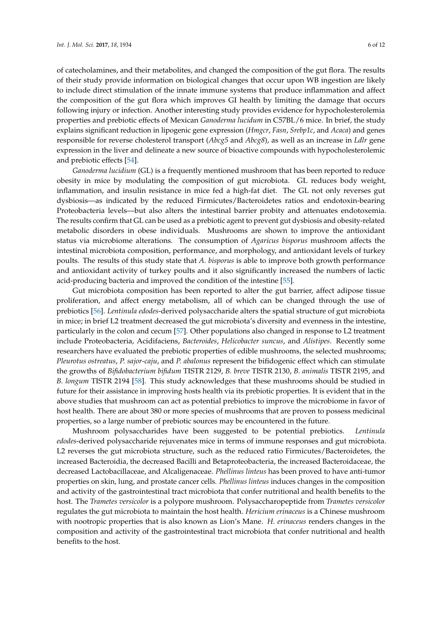of catecholamines, and their metabolites, and changed the composition of the gut flora. The results of their study provide information on biological changes that occur upon WB ingestion are likely to include direct stimulation of the innate immune systems that produce inflammation and affect the composition of the gut flora which improves GI health by limiting the damage that occurs following injury or infection. Another interesting study provides evidence for hypocholesterolemia properties and prebiotic effects of Mexican *Ganoderma lucidum* in C57BL/6 mice. In brief, the study explains significant reduction in lipogenic gene expression (*Hmgcr*, *Fasn*, *Srebp1c*, and *Acaca*) and genes responsible for reverse cholesterol transport (*Abcg5* and *Abcg8*), as well as an increase in *Ldlr* gene expression in the liver and delineate a new source of bioactive compounds with hypocholesterolemic and prebiotic effects [\[54\]](#page-10-20).

*Ganoderma lucidium* (GL) is a frequently mentioned mushroom that has been reported to reduce obesity in mice by modulating the composition of gut microbiota. GL reduces body weight, inflammation, and insulin resistance in mice fed a high-fat diet. The GL not only reverses gut dysbiosis—as indicated by the reduced Firmicutes/Bacteroidetes ratios and endotoxin-bearing Proteobacteria levels—but also alters the intestinal barrier probity and attenuates endotoxemia. The results confirm that GL can be used as a prebiotic agent to prevent gut dysbiosis and obesity-related metabolic disorders in obese individuals. Mushrooms are shown to improve the antioxidant status via microbiome alterations. The consumption of *Agaricus bisporus* mushroom affects the intestinal microbiota composition, performance, and morphology, and antioxidant levels of turkey poults. The results of this study state that *A. bisporus* is able to improve both growth performance and antioxidant activity of turkey poults and it also significantly increased the numbers of lactic acid-producing bacteria and improved the condition of the intestine [\[55\]](#page-10-21).

Gut microbiota composition has been reported to alter the gut barrier, affect adipose tissue proliferation, and affect energy metabolism, all of which can be changed through the use of prebiotics [\[56\]](#page-11-0). *Lentinula edodes*-derived polysaccharide alters the spatial structure of gut microbiota in mice; in brief L2 treatment decreased the gut microbiota's diversity and evenness in the intestine, particularly in the colon and cecum [\[57\]](#page-11-1). Other populations also changed in response to L2 treatment include Proteobacteria, Acidifaciens, *Bacteroides*, *Helicobacter suncus*, and *Alistipes*. Recently some researchers have evaluated the prebiotic properties of edible mushrooms, the selected mushrooms; *Pleurotus ostreatus*, *P. sajor-caju*, and *P. abalonus* represent the bifidogenic effect which can stimulate the growths of *Bifidobacterium bifidum* TISTR 2129, *B. breve* TISTR 2130, *B. animalis* TISTR 2195, and *B. longum* TISTR 2194 [\[58\]](#page-11-2). This study acknowledges that these mushrooms should be studied in future for their assistance in improving hosts health via its prebiotic properties. It is evident that in the above studies that mushroom can act as potential prebiotics to improve the microbiome in favor of host health. There are about 380 or more species of mushrooms that are proven to possess medicinal properties, so a large number of prebiotic sources may be encountered in the future.

Mushroom polysaccharides have been suggested to be potential prebiotics. *Lentinula edodes*-derived polysaccharide rejuvenates mice in terms of immune responses and gut microbiota. L2 reverses the gut microbiota structure, such as the reduced ratio Firmicutes/Bacteroidetes, the increased Bacteroidia, the decreased Bacilli and Betaproteobacteria, the increased Bacteroidaceae, the decreased Lactobacillaceae, and Alcaligenaceae. *Phellinus linteus* has been proved to have anti-tumor properties on skin, lung, and prostate cancer cells. *Phellinus linteus* induces changes in the composition and activity of the gastrointestinal tract microbiota that confer nutritional and health benefits to the host. The *Trametes versicolor* is a polypore mushroom. Polysaccharopeptide from *Trametes versicolor* regulates the gut microbiota to maintain the host health. *Hericium erinaceus* is a Chinese mushroom with nootropic properties that is also known as Lion's Mane. *H. erinaceus* renders changes in the composition and activity of the gastrointestinal tract microbiota that confer nutritional and health benefits to the host.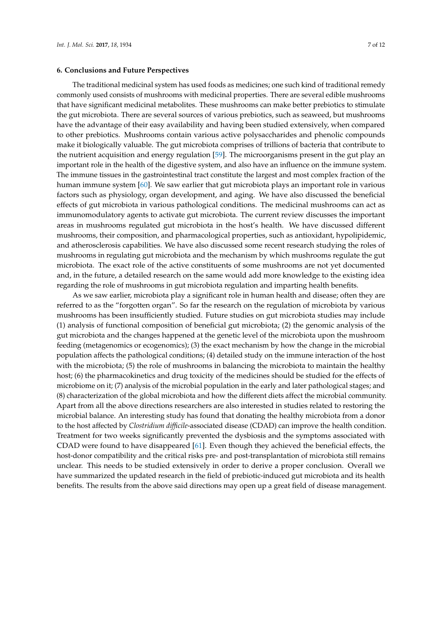#### **6. Conclusions and Future Perspectives**

The traditional medicinal system has used foods as medicines; one such kind of traditional remedy commonly used consists of mushrooms with medicinal properties. There are several edible mushrooms that have significant medicinal metabolites. These mushrooms can make better prebiotics to stimulate the gut microbiota. There are several sources of various prebiotics, such as seaweed, but mushrooms have the advantage of their easy availability and having been studied extensively, when compared to other prebiotics. Mushrooms contain various active polysaccharides and phenolic compounds make it biologically valuable. The gut microbiota comprises of trillions of bacteria that contribute to the nutrient acquisition and energy regulation [\[59\]](#page-11-3). The microorganisms present in the gut play an important role in the health of the digestive system, and also have an influence on the immune system. The immune tissues in the gastrointestinal tract constitute the largest and most complex fraction of the human immune system [\[60\]](#page-11-4). We saw earlier that gut microbiota plays an important role in various factors such as physiology, organ development, and aging. We have also discussed the beneficial effects of gut microbiota in various pathological conditions. The medicinal mushrooms can act as immunomodulatory agents to activate gut microbiota. The current review discusses the important areas in mushrooms regulated gut microbiota in the host's health. We have discussed different mushrooms, their composition, and pharmacological properties, such as antioxidant, hypolipidemic, and atherosclerosis capabilities. We have also discussed some recent research studying the roles of mushrooms in regulating gut microbiota and the mechanism by which mushrooms regulate the gut microbiota. The exact role of the active constituents of some mushrooms are not yet documented and, in the future, a detailed research on the same would add more knowledge to the existing idea regarding the role of mushrooms in gut microbiota regulation and imparting health benefits.

As we saw earlier, microbiota play a significant role in human health and disease; often they are referred to as the "forgotten organ". So far the research on the regulation of microbiota by various mushrooms has been insufficiently studied. Future studies on gut microbiota studies may include (1) analysis of functional composition of beneficial gut microbiota; (2) the genomic analysis of the gut microbiota and the changes happened at the genetic level of the microbiota upon the mushroom feeding (metagenomics or ecogenomics); (3) the exact mechanism by how the change in the microbial population affects the pathological conditions; (4) detailed study on the immune interaction of the host with the microbiota; (5) the role of mushrooms in balancing the microbiota to maintain the healthy host; (6) the pharmacokinetics and drug toxicity of the medicines should be studied for the effects of microbiome on it; (7) analysis of the microbial population in the early and later pathological stages; and (8) characterization of the global microbiota and how the different diets affect the microbial community. Apart from all the above directions researchers are also interested in studies related to restoring the microbial balance. An interesting study has found that donating the healthy microbiota from a donor to the host affected by *Clostridium difficile*-associated disease (CDAD) can improve the health condition. Treatment for two weeks significantly prevented the dysbiosis and the symptoms associated with CDAD were found to have disappeared [\[61\]](#page-11-5). Even though they achieved the beneficial effects, the host-donor compatibility and the critical risks pre- and post-transplantation of microbiota still remains unclear. This needs to be studied extensively in order to derive a proper conclusion. Overall we have summarized the updated research in the field of prebiotic-induced gut microbiota and its health benefits. The results from the above said directions may open up a great field of disease management.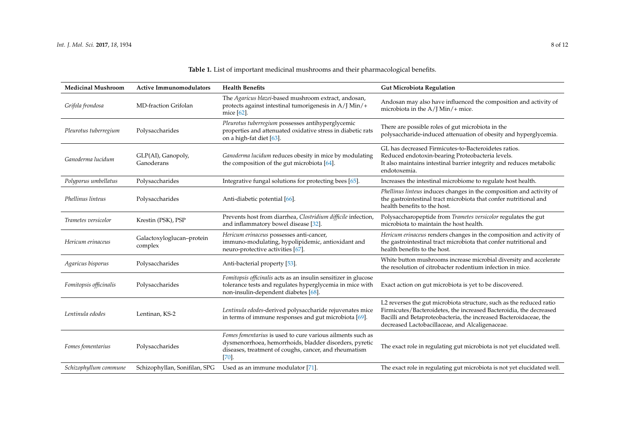<span id="page-7-0"></span>

| <b>Medicinal Mushroom</b> | <b>Active Immunomodulators</b>       | <b>Health Benefits</b>                                                                                                                                                                 | <b>Gut Microbiota Regulation</b>                                                                                                                                                                                                                                  |
|---------------------------|--------------------------------------|----------------------------------------------------------------------------------------------------------------------------------------------------------------------------------------|-------------------------------------------------------------------------------------------------------------------------------------------------------------------------------------------------------------------------------------------------------------------|
| Grifola frondosa          | MD-fraction Grifolan                 | The Agaricus blazei-based mushroom extract, andosan,<br>protects against intestinal tumorigenesis in A/J Min/+<br>mice [62].                                                           | Andosan may also have influenced the composition and activity of<br>microbiota in the $A/J$ Min/+ mice.                                                                                                                                                           |
| Pleurotus tuberregium     | Polysaccharides                      | Pleurotus tuberregium possesses antihyperglycemic<br>properties and attenuated oxidative stress in diabetic rats<br>on a high-fat diet [63].                                           | There are possible roles of gut microbiota in the<br>polysaccharide-induced attenuation of obesity and hyperglycemia.                                                                                                                                             |
| Ganoderma lucidum         | GLP(AI), Ganopoly,<br>Ganoderans     | Ganoderma lucidum reduces obesity in mice by modulating<br>the composition of the gut microbiota [64].                                                                                 | GL has decreased Firmicutes-to-Bacteroidetes ratios.<br>Reduced endotoxin-bearing Proteobacteria levels.<br>It also maintains intestinal barrier integrity and reduces metabolic<br>endotoxemia.                                                                  |
| Polyporus umbellatus      | Polysaccharides                      | Integrative fungal solutions for protecting bees [65].                                                                                                                                 | Increases the intestinal microbiome to regulate host health.                                                                                                                                                                                                      |
| Phellinus linteus         | Polysaccharides                      | Anti-diabetic potential [66].                                                                                                                                                          | Phellinus linteus induces changes in the composition and activity of<br>the gastrointestinal tract microbiota that confer nutritional and<br>health benefits to the host.                                                                                         |
| Trametes versicolor       | Krestin (PSK), PSP                   | Prevents host from diarrhea, Clostridium difficile infection,<br>and inflammatory bowel disease [32].                                                                                  | Polysaccharopeptide from Trametes versicolor regulates the gut<br>microbiota to maintain the host health.                                                                                                                                                         |
| Hericum erinaceus         | Galactoxyloglucan-protein<br>complex | Hericum erinaceus possesses anti-cancer,<br>immuno-modulating, hypolipidemic, antioxidant and<br>neuro-protective activities [67].                                                     | Hericum erinaceus renders changes in the composition and activity of<br>the gastrointestinal tract microbiota that confer nutritional and<br>health benefits to the host.                                                                                         |
| Agaricus bisporus         | Polysaccharides                      | Anti-bacterial property [53].                                                                                                                                                          | White button mushrooms increase microbial diversity and accelerate<br>the resolution of citrobacter rodentium infection in mice.                                                                                                                                  |
| Fomitopsis officinalis    | Polysaccharides                      | Fomitopsis officinalis acts as an insulin sensitizer in glucose<br>tolerance tests and regulates hyperglycemia in mice with<br>non-insulin-dependent diabetes [68].                    | Exact action on gut microbiota is yet to be discovered.                                                                                                                                                                                                           |
| Lentinula edodes          | Lentinan, KS-2                       | Lentinula edodes-derived polysaccharide rejuvenates mice<br>in terms of immune responses and gut microbiota [69].                                                                      | L2 reverses the gut microbiota structure, such as the reduced ratio<br>Firmicutes/Bacteroidetes, the increased Bacteroidia, the decreased<br>Bacilli and Betaproteobacteria, the increased Bacteroidaceae, the<br>decreased Lactobacillaceae, and Alcaligenaceae. |
| Fomes fomentarius         | Polysaccharides                      | Fomes fomentarius is used to cure various ailments such as<br>dysmenorrhoea, hemorrhoids, bladder disorders, pyretic<br>diseases, treatment of coughs, cancer, and rheumatism<br>[70]. | The exact role in regulating gut microbiota is not yet elucidated well.                                                                                                                                                                                           |
| Schizophyllum commune     | Schizophyllan, Sonifilan, SPG        | Used as an immune modulator [71].                                                                                                                                                      | The exact role in regulating gut microbiota is not yet elucidated well.                                                                                                                                                                                           |

**Table 1.** List of important medicinal mushrooms and their pharmacological benefits.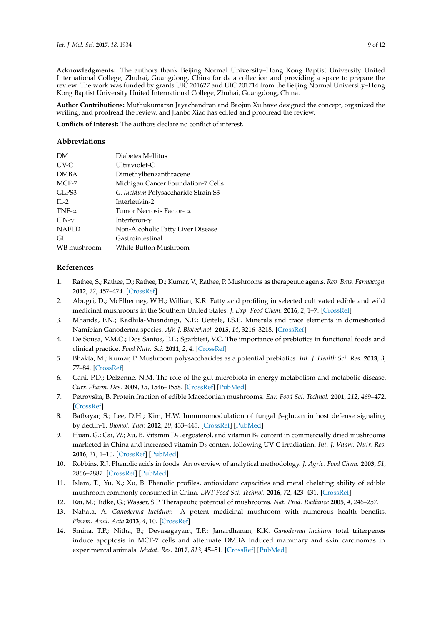**Acknowledgments:** The authors thank Beijing Normal University–Hong Kong Baptist University United International College, Zhuhai, Guangdong, China for data collection and providing a space to prepare the review. The work was funded by grants UIC 201627 and UIC 201714 from the Beijing Normal University–Hong Kong Baptist University United International College, Zhuhai, Guangdong, China.

**Author Contributions:** Muthukumaran Jayachandran and Baojun Xu have designed the concept, organized the writing, and proofread the review, and Jianbo Xiao has edited and proofread the review.

**Conflicts of Interest:** The authors declare no conflict of interest.

## **Abbreviations**

| DM            | Diabetes Mellitus                   |
|---------------|-------------------------------------|
| UV-C          | Ultraviolet-C                       |
| <b>DMBA</b>   | Dimethylbenzanthracene              |
| MCF-7         | Michigan Cancer Foundation-7 Cells  |
| GLPS3         | G. lucidum Polysaccharide Strain S3 |
| $II - 2$      | Interleukin-2                       |
| TNF- $\alpha$ | Tumor Necrosis Factor- $\alpha$     |
| IFN- $\gamma$ | Interferon- $\gamma$                |
| <b>NAFLD</b>  | Non-Alcoholic Fatty Liver Disease   |
| GI            | Gastrointestinal                    |
| WB mushroom   | White Button Mushroom               |

### **References**

- <span id="page-8-0"></span>1. Rathee, S.; Rathee, D.; Rathee, D.; Kumar, V.; Rathee, P. Mushrooms as therapeutic agents. *Rev. Bras. Farmacogn.* **2012**, *22*, 457–474. [\[CrossRef\]](http://dx.doi.org/10.1590/S0102-695X2011005000195)
- <span id="page-8-1"></span>2. Abugri, D.; McElhenney, W.H.; Willian, K.R. Fatty acid profiling in selected cultivated edible and wild medicinal mushrooms in the Southern United States. *J. Exp. Food Chem.* **2016**, *2*, 1–7. [\[CrossRef\]](http://dx.doi.org/10.4172/2472-0542.1000108)
- <span id="page-8-2"></span>3. Mhanda, F.N.; Kadhila-Muandingi, N.P.; Ueitele, I.S.E. Minerals and trace elements in domesticated Namibian Ganoderma species. *Afr. J. Biotechnol.* **2015**, *14*, 3216–3218. [\[CrossRef\]](http://dx.doi.org/10.5897/AJB2015.14573)
- <span id="page-8-3"></span>4. De Sousa, V.M.C.; Dos Santos, E.F.; Sgarbieri, V.C. The importance of prebiotics in functional foods and clinical practice. *Food Nutr. Sci.* **2011**, *2*, 4. [\[CrossRef\]](http://dx.doi.org/10.4236/fns.2011.22019)
- <span id="page-8-4"></span>5. Bhakta, M.; Kumar, P. Mushroom polysaccharides as a potential prebiotics. *Int. J. Health Sci. Res.* **2013**, *3*, 77–84. [\[CrossRef\]](http://dx.doi.org/10.1016/j.bcdf.2015.11.001)
- <span id="page-8-5"></span>6. Cani, P.D.; Delzenne, N.M. The role of the gut microbiota in energy metabolism and metabolic disease. *Curr. Pharm. Des.* **2009**, *15*, 1546–1558. [\[CrossRef\]](http://dx.doi.org/10.2174/138161209788168164) [\[PubMed\]](http://www.ncbi.nlm.nih.gov/pubmed/19442172)
- <span id="page-8-6"></span>7. Petrovska, B. Protein fraction of edible Macedonian mushrooms. *Eur. Food Sci. Technol.* **2001**, *212*, 469–472. [\[CrossRef\]](http://dx.doi.org/10.1007/s002170000285)
- <span id="page-8-7"></span>8. Batbayar, S.; Lee, D.H.; Kim, H.W. Immunomodulation of fungal β-glucan in host defense signaling by dectin-1. *Biomol. Ther.* **2012**, *20*, 433–445. [\[CrossRef\]](http://dx.doi.org/10.4062/biomolther.2012.20.5.433) [\[PubMed\]](http://www.ncbi.nlm.nih.gov/pubmed/24009832)
- <span id="page-8-8"></span>9. Huan, G.; Cai, W.; Xu, B. Vitamin  $\mathrm{D}_2$ , ergosterol, and vitamin  $\mathrm{B}_2$  content in commercially dried mushrooms marketed in China and increased vitamin D<sub>2</sub> content following UV-C irradiation. Int. J. Vitam. Nutr. Res. **2016**, *21*, 1–10. [\[CrossRef\]](http://dx.doi.org/10.1024/0300-9831/a000294) [\[PubMed\]](http://www.ncbi.nlm.nih.gov/pubmed/27866467)
- <span id="page-8-9"></span>10. Robbins, R.J. Phenolic acids in foods: An overview of analytical methodology. *J. Agric. Food Chem.* **2003**, *51*, 2866–2887. [\[CrossRef\]](http://dx.doi.org/10.1021/jf026182t) [\[PubMed\]](http://www.ncbi.nlm.nih.gov/pubmed/12720366)
- <span id="page-8-10"></span>11. Islam, T.; Yu, X.; Xu, B. Phenolic profiles, antioxidant capacities and metal chelating ability of edible mushroom commonly consumed in China. *LWT Food Sci. Technol.* **2016**, *72*, 423–431. [\[CrossRef\]](http://dx.doi.org/10.1016/j.lwt.2016.05.005)
- <span id="page-8-11"></span>12. Rai, M.; Tidke, G.; Wasser, S.P. Therapeutic potential of mushrooms. *Nat. Prod. Radiance* **2005**, *4*, 246–257.
- <span id="page-8-12"></span>13. Nahata, A. *Ganoderma lucidum*: A potent medicinal mushroom with numerous health benefits. *Pharm. Anal. Acta* **2013**, *4*, 10. [\[CrossRef\]](http://dx.doi.org/10.4172/2153-2435.1000e159)
- <span id="page-8-13"></span>14. Smina, T.P.; Nitha, B.; Devasagayam, T.P.; Janardhanan, K.K. *Ganoderma lucidum* total triterpenes induce apoptosis in MCF-7 cells and attenuate DMBA induced mammary and skin carcinomas in experimental animals. *Mutat. Res.* **2017**, *813*, 45–51. [\[CrossRef\]](http://dx.doi.org/10.1016/j.mrgentox.2016.11.010) [\[PubMed\]](http://www.ncbi.nlm.nih.gov/pubmed/28010928)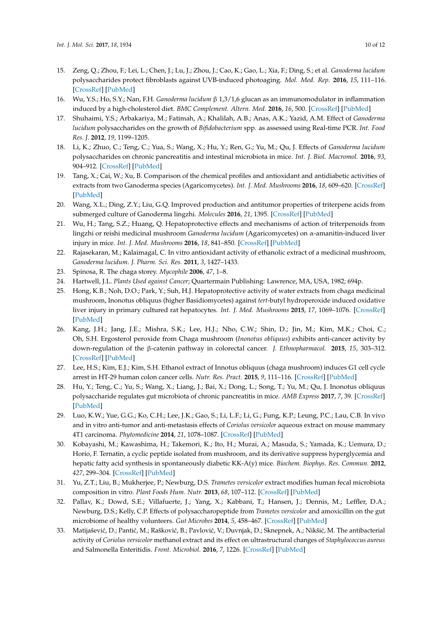- <span id="page-9-0"></span>15. Zeng, Q.; Zhou, F.; Lei, L.; Chen, J.; Lu, J.; Zhou, J.; Cao, K.; Gao, L.; Xia, F.; Ding, S.; et al. *Ganoderma lucidum* polysaccharides protect fibroblasts against UVB-induced photoaging. *Mol. Med. Rep.* **2016**, *15*, 111–116. [\[CrossRef\]](http://dx.doi.org/10.3892/mmr.2016.6026) [\[PubMed\]](http://www.ncbi.nlm.nih.gov/pubmed/27959406)
- <span id="page-9-1"></span>16. Wu, Y.S.; Ho, S.Y.; Nan, F.H. *Ganoderma lucidum* β 1,3/1,6 glucan as an immunomodulator in inflammation induced by a high-cholesterol diet. *BMC Complement. Altern. Med.* **2016**, *16*, 500. [\[CrossRef\]](http://dx.doi.org/10.1186/s12906-016-1476-3) [\[PubMed\]](http://www.ncbi.nlm.nih.gov/pubmed/27912745)
- <span id="page-9-2"></span>17. Shuhaimi, Y.S.; Arbakariya, M.; Fatimah, A.; Khalilah, A.B.; Anas, A.K.; Yazid, A.M. Effect of *Ganoderma lucidum* polysaccharides on the growth of *Bifidobacterium* spp. as assessed using Real-time PCR. *Int. Food Res. J.* **2012**, *19*, 1199–1205.
- <span id="page-9-3"></span>18. Li, K.; Zhuo, C.; Teng, C.; Yua, S.; Wang, X.; Hu, Y.; Ren, G.; Yu, M.; Qu, J. Effects of *Ganoderma lucidum* polysaccharides on chronic pancreatitis and intestinal microbiota in mice. *Int. J. Biol. Macromol.* **2016**, *93*, 904–912. [\[CrossRef\]](http://dx.doi.org/10.1016/j.ijbiomac.2016.09.029) [\[PubMed\]](http://www.ncbi.nlm.nih.gov/pubmed/27616696)
- <span id="page-9-4"></span>19. Tang, X.; Cai, W.; Xu, B. Comparison of the chemical profiles and antioxidant and antidiabetic activities of extracts from two Ganoderma species (Agaricomycetes). *Int. J. Med. Mushrooms* **2016**, *18*, 609–620. [\[CrossRef\]](http://dx.doi.org/10.1615/IntJMedMushrooms.v18.i7.60) [\[PubMed\]](http://www.ncbi.nlm.nih.gov/pubmed/27649729)
- <span id="page-9-5"></span>20. Wang, X.L.; Ding, Z.Y.; Liu, G.Q. Improved production and antitumor properties of triterpene acids from submerged culture of Ganoderma lingzhi. *Molecules* **2016**, *21*, 1395. [\[CrossRef\]](http://dx.doi.org/10.3390/molecules21101395) [\[PubMed\]](http://www.ncbi.nlm.nih.gov/pubmed/27775633)
- <span id="page-9-6"></span>21. Wu, H.; Tang, S.Z.; Huang, Q. Hepatoprotective effects and mechanisms of action of triterpenoids from lingzhi or reishi medicinal mushroom *Ganoderma lucidum* (Agaricomycetes) on α-amanitin-induced liver injury in mice. *Int. J. Med. Mushrooms* **2016**, *18*, 841–850. [\[CrossRef\]](http://dx.doi.org/10.1615/IntJMedMushrooms.v18.i9.80) [\[PubMed\]](http://www.ncbi.nlm.nih.gov/pubmed/27910775)
- <span id="page-9-7"></span>22. Rajasekaran, M.; Kalaimagal, C. In vitro antioxidant activity of ethanolic extract of a medicinal mushroom, *Ganoderma lucidum*. *J. Pharm. Sci. Res.* **2011**, *3*, 1427–1433.
- <span id="page-9-8"></span>23. Spinosa, R. The chaga storey. *Mycophile* **2006**, *47*, 1–8.
- <span id="page-9-9"></span>24. Hartwell, J.L. *Plants Used against Cancer*; Quartermain Publishing: Lawrence, MA, USA, 1982; 694p.
- <span id="page-9-10"></span>25. Hong, K.B.; Noh, D.O.; Park, Y.; Suh, H.J. Hepatoprotective activity of water extracts from chaga medicinal mushroom, Inonotus obliquus (higher Basidiomycetes) against *tert*-butyl hydroperoxide induced oxidative liver injury in primary cultured rat hepatocytes. *Int. J. Med. Mushrooms* **2015**, *17*, 1069–1076. [\[CrossRef\]](http://dx.doi.org/10.1615/IntJMedMushrooms.v17.i11.70) [\[PubMed\]](http://www.ncbi.nlm.nih.gov/pubmed/26853962)
- <span id="page-9-19"></span><span id="page-9-11"></span>26. Kang, J.H.; Jang, J.E.; Mishra, S.K.; Lee, H.J.; Nho, C.W.; Shin, D.; Jin, M.; Kim, M.K.; Choi, C.; Oh, S.H. Ergosterol peroxide from Chaga mushroom (*Inonotus obliquus*) exhibits anti-cancer activity by down-regulation of the β-catenin pathway in colorectal cancer. *J. Ethnopharmacol.* **2015**, *15*, 303–312. [\[CrossRef\]](http://dx.doi.org/10.1016/j.jep.2015.07.030) [\[PubMed\]](http://www.ncbi.nlm.nih.gov/pubmed/26210065)
- <span id="page-9-12"></span>27. Lee, H.S.; Kim, E.J.; Kim, S.H. Ethanol extract of Innotus obliquus (chaga mushroom) induces G1 cell cycle arrest in HT-29 human colon cancer cells. *Nutr. Res. Pract.* **2015**, *9*, 111–116. [\[CrossRef\]](http://dx.doi.org/10.4162/nrp.2015.9.2.111) [\[PubMed\]](http://www.ncbi.nlm.nih.gov/pubmed/25861415)
- <span id="page-9-13"></span>28. Hu, Y.; Teng, C.; Yu, S.; Wang, X.; Liang, J.; Bai, X.; Dong, L.; Song, T.; Yu, M.; Qu, J. Inonotus obliquus polysaccharide regulates gut microbiota of chronic pancreatitis in mice. *AMB Express* **2017**, *7*, 39. [\[CrossRef\]](http://dx.doi.org/10.1186/s13568-017-0341-1) [\[PubMed\]](http://www.ncbi.nlm.nih.gov/pubmed/28197985)
- <span id="page-9-14"></span>29. Luo, K.W.; Yue, G.G.; Ko, C.H.; Lee, J.K.; Gao, S.; Li, L.F.; Li, G.; Fung, K.P.; Leung, P.C.; Lau, C.B. In vivo and in vitro anti-tumor and anti-metastasis effects of *Coriolus versicolor* aqueous extract on mouse mammary 4T1 carcinoma. *Phytomedicine* **2014**, *21*, 1078–1087. [\[CrossRef\]](http://dx.doi.org/10.1016/j.phymed.2014.04.020) [\[PubMed\]](http://www.ncbi.nlm.nih.gov/pubmed/24856767)
- <span id="page-9-15"></span>30. Kobayashi, M.; Kawashima, H.; Takemori, K.; Ito, H.; Murai, A.; Masuda, S.; Yamada, K.; Uemura, D.; Horio, F. Ternatin, a cyclic peptide isolated from mushroom, and its derivative suppress hyperglycemia and hepatic fatty acid synthesis in spontaneously diabetic KK-A(y) mice. *Biochem. Biophys. Res. Commun.* **2012**, *427*, 299–304. [\[CrossRef\]](http://dx.doi.org/10.1016/j.bbrc.2012.09.045) [\[PubMed\]](http://www.ncbi.nlm.nih.gov/pubmed/23000156)
- <span id="page-9-16"></span>31. Yu, Z.T.; Liu, B.; Mukherjee, P.; Newburg, D.S. *Trametes versicolor* extract modifies human fecal microbiota composition in vitro. *Plant Foods Hum. Nutr.* **2013**, *68*, 107–112. [\[CrossRef\]](http://dx.doi.org/10.1007/s11130-013-0342-4) [\[PubMed\]](http://www.ncbi.nlm.nih.gov/pubmed/23435630)
- <span id="page-9-17"></span>32. Pallav, K.; Dowd, S.E.; Villafuerte, J.; Yang, X.; Kabbani, T.; Hansen, J.; Dennis, M.; Leffler, D.A.; Newburg, D.S.; Kelly, C.P. Effects of polysaccharopeptide from *Trametes versicolor* and amoxicillin on the gut microbiome of healthy volunteers. *Gut Microbes* **2014**, *5*, 458–467. [\[CrossRef\]](http://dx.doi.org/10.4161/gmic.29558) [\[PubMed\]](http://www.ncbi.nlm.nih.gov/pubmed/25006989)
- <span id="page-9-18"></span>33. Matijašević, D.; Pantić, M.; Rašković, B.; Pavlović, V.; Duvnjak, D.; Sknepnek, A.; Nikšić, M. The antibacterial activity of *Coriolus versicolor* methanol extract and its effect on ultrastructural changes of *Staphylococcus aureus* and Salmonella Enteritidis. *Front. Microbiol.* **2016**, *7*, 1226. [\[CrossRef\]](http://dx.doi.org/10.3389/fmicb.2016.01226) [\[PubMed\]](http://www.ncbi.nlm.nih.gov/pubmed/27540376)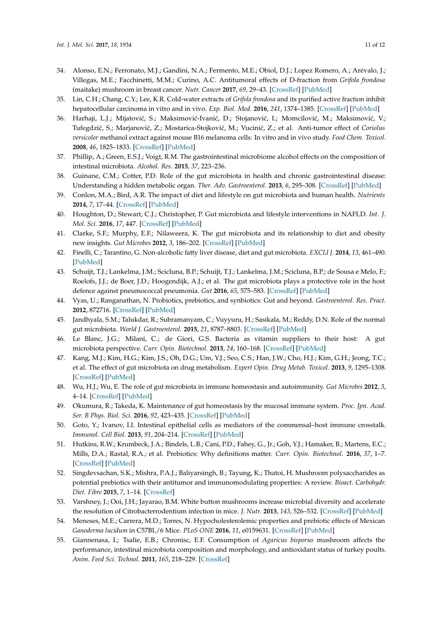- <span id="page-10-0"></span>34. Alonso, E.N.; Ferronato, M.J.; Gandini, N.A.; Fermento, M.E.; Obiol, D.J.; Lopez Romero, A.; Arévalo, J.; Villegas, M.E.; Facchinetti, M.M.; Curino, A.C. Antitumoral effects of D-fraction from *Grifola frondosa* (maitake) mushroom in breast cancer. *Nutr. Cancer* **2017**, *69*, 29–43. [\[CrossRef\]](http://dx.doi.org/10.1080/01635581.2017.1247891) [\[PubMed\]](http://www.ncbi.nlm.nih.gov/pubmed/27892708)
- <span id="page-10-1"></span>35. Lin, C.H.; Chang, C.Y.; Lee, K.R. Cold-water extracts of *Grifola frondosa* and its purified active fraction inhibit hepatocellular carcinoma in vitro and in vivo. *Exp. Biol. Med.* **2016**, *241*, 1374–1385. [\[CrossRef\]](http://dx.doi.org/10.1177/1535370216640149) [\[PubMed\]](http://www.ncbi.nlm.nih.gov/pubmed/27013543)
- <span id="page-10-2"></span>36. Harhaji, L.J.; Mijatović, S.; Maksimović-Ivanić, D.; Stojanović, I.; Momcilović, M.; Maksimović, V.; Tufegdzić, S.; Marjanović, Z.; Mostarica-Stojković, M.; Vucinić, Z.; et al. Anti-tumor effect of *Coriolus versicolor* methanol extract against mouse B16 melanoma cells: In vitro and in vivo study. *Food Chem. Toxicol.* **2008**, *46*, 1825–1833. [\[CrossRef\]](http://dx.doi.org/10.1016/j.fct.2008.01.027) [\[PubMed\]](http://www.ncbi.nlm.nih.gov/pubmed/18313195)
- <span id="page-10-3"></span>37. Phillip, A.; Green, E.S.J.; Voigt, R.M. The gastrointestinal microbiome alcohol effects on the composition of intestinal microbiota. *Alcohol. Res.* **2015**, *37*, 223–236.
- <span id="page-10-4"></span>38. Guinane, C.M.; Cotter, P.D. Role of the gut microbiota in health and chronic gastrointestinal disease: Understanding a hidden metabolic organ. *Ther. Adv. Gastroenterol.* **2013**, *6*, 295–308. [\[CrossRef\]](http://dx.doi.org/10.1177/1756283X13482996) [\[PubMed\]](http://www.ncbi.nlm.nih.gov/pubmed/23814609)
- <span id="page-10-5"></span>39. Conlon, M.A.; Bird, A.R. The impact of diet and lifestyle on gut microbiota and human health. *Nutrients* **2014**, *7*, 17–44. [\[CrossRef\]](http://dx.doi.org/10.3390/nu7010017) [\[PubMed\]](http://www.ncbi.nlm.nih.gov/pubmed/25545101)
- <span id="page-10-6"></span>40. Houghton, D.; Stewart, C.J.; Christopher, P. Gut microbiota and lifestyle interventions in NAFLD. *Int. J. Mol. Sci.* **2016**, *17*, 447. [\[CrossRef\]](http://dx.doi.org/10.3390/ijms17040447) [\[PubMed\]](http://www.ncbi.nlm.nih.gov/pubmed/27023533)
- <span id="page-10-7"></span>41. Clarke, S.F.; Murphy, E.F.; Nilaweera, K. The gut microbiota and its relationship to diet and obesity new insights. *Gut Microbes* **2012**, *3*, 186–202. [\[CrossRef\]](http://dx.doi.org/10.4161/gmic.20168) [\[PubMed\]](http://www.ncbi.nlm.nih.gov/pubmed/22572830)
- <span id="page-10-8"></span>42. Finelli, C.; Tarantino, G. Non-alcoholic fatty liver disease, diet and gut microbiota. *EXCLI J.* **2014**, *13*, 461–490. [\[PubMed\]](http://www.ncbi.nlm.nih.gov/pubmed/26417275)
- <span id="page-10-9"></span>43. Schuijt, T.J.; Lankelma, J.M.; Scicluna, B.P.; Schuijt, T.J.; Lankelma, J.M.; Scicluna, B.P.; de Sousa e Melo, F.; Roelofs, J.J.; de Boer, J.D.; Hoogendijk, A.J.; et al. The gut microbiota plays a protective role in the host defence against pneumococcal pneumonia. *Gut* **2016**, *65*, 575–583. [\[CrossRef\]](http://dx.doi.org/10.1136/gutjnl-2015-309728) [\[PubMed\]](http://www.ncbi.nlm.nih.gov/pubmed/26511795)
- <span id="page-10-10"></span>44. Vyas, U.; Ranganathan, N. Probiotics, prebiotics, and synbiotics: Gut and beyond. *Gastroenterol. Res. Pract.* **2012**, 872716. [\[CrossRef\]](http://dx.doi.org/10.1155/2012/872716) [\[PubMed\]](http://www.ncbi.nlm.nih.gov/pubmed/23049548)
- <span id="page-10-22"></span><span id="page-10-11"></span>45. Jandhyala, S.M.; Talukdar, R.; Subramanyam, C.; Vuyyuru, H.; Sasikala, M.; Reddy, D.N. Role of the normal gut microbiota. *World J. Gastroenterol.* **2015**, *21*, 8787–8803. [\[CrossRef\]](http://dx.doi.org/10.3748/wjg.v21.i29.8787) [\[PubMed\]](http://www.ncbi.nlm.nih.gov/pubmed/26269668)
- <span id="page-10-12"></span>46. Le Blanc, J.G.; Milani, C.; de Giori, G.S. Bacteria as vitamin suppliers to their host: A gut microbiota perspective. *Curr. Opin. Biotechnol.* **2013**, *24*, 160–168. [\[CrossRef\]](http://dx.doi.org/10.1016/j.copbio.2012.08.005) [\[PubMed\]](http://www.ncbi.nlm.nih.gov/pubmed/22940212)
- <span id="page-10-13"></span>47. Kang, M.J.; Kim, H.G.; Kim, J.S.; Oh, D.G.; Um, Y.J.; Seo, C.S.; Han, J.W.; Cho, H.J.; Kim, G.H.; Jeong, T.C.; et al. The effect of gut microbiota on drug metabolism. *Expert Opin. Drug Metab. Toxicol.* **2013**, *9*, 1295–1308. [\[CrossRef\]](http://dx.doi.org/10.1517/17425255.2013.807798) [\[PubMed\]](http://www.ncbi.nlm.nih.gov/pubmed/24033282)
- <span id="page-10-14"></span>48. Wu, H.J.; Wu, E. The role of gut microbiota in immune homeostasis and autoimmunity. *Gut Microbes* **2012**, *3*, 4–14. [\[CrossRef\]](http://dx.doi.org/10.4161/gmic.19320) [\[PubMed\]](http://www.ncbi.nlm.nih.gov/pubmed/22356853)
- <span id="page-10-15"></span>49. Okumura, R.; Takeda, K. Maintenance of gut homeostasis by the mucosal immune system. *Proc. Jpn. Acad. Ser. B Phys. Biol. Sci.* **2016**, *92*, 423–435. [\[CrossRef\]](http://dx.doi.org/10.2183/pjab.92.423) [\[PubMed\]](http://www.ncbi.nlm.nih.gov/pubmed/27840390)
- <span id="page-10-16"></span>50. Goto, Y.; Ivanov, I.I. Intestinal epithelial cells as mediators of the commensal–host immune crosstalk. *Immunol. Cell Biol.* **2013**, *91*, 204–214. [\[CrossRef\]](http://dx.doi.org/10.1038/icb.2012.80) [\[PubMed\]](http://www.ncbi.nlm.nih.gov/pubmed/23318659)
- <span id="page-10-17"></span>51. Hutkins, R.W.; Krumbeck, J.A.; Bindels, L.B.; Cani, P.D.; Fahey, G., Jr.; Goh, Y.J.; Hamaker, B.; Martens, E.C.; Mills, D.A.; Rastal, R.A.; et al. Prebiotics: Why definitions matter. *Curr. Opin. Biotechnol.* **2016**, *37*, 1–7. [\[CrossRef\]](http://dx.doi.org/10.1016/j.copbio.2015.09.001) [\[PubMed\]](http://www.ncbi.nlm.nih.gov/pubmed/26431716)
- <span id="page-10-18"></span>52. Singdevsachan, S.K.; Mishra, P.A.J.; Baliyarsingh, B.; Tayung, K.; Thatoi, H. Mushroom polysaccharides as potential prebiotics with their antitumor and immunomodulating properties: A review. *Bioact. Carbohydr. Diet. Fibre* **2015**, *7*, 1–14. [\[CrossRef\]](http://dx.doi.org/10.1016/j.bcdf.2015.11.001)
- <span id="page-10-19"></span>53. Varshney, J.; Ooi, J.H.; Jayarao, B.M. White button mushrooms increase microbial diversity and accelerate the resolution of Citrobacterrodentium infection in mice. *J. Nutr.* **2013**, *143*, 526–532. [\[CrossRef\]](http://dx.doi.org/10.3945/jn.112.171355) [\[PubMed\]](http://www.ncbi.nlm.nih.gov/pubmed/23343678)
- <span id="page-10-20"></span>54. Meneses, M.E.; Carrera, M.D.; Torres, N. Hypocholesterolemic properties and prebiotic effects of Mexican *Ganoderma lucidum* in C57BL/6 Mice. *PLoS ONE* **2016**, *11*, e0159631. [\[CrossRef\]](http://dx.doi.org/10.1371/journal.pone.0159631) [\[PubMed\]](http://www.ncbi.nlm.nih.gov/pubmed/27438015)
- <span id="page-10-21"></span>55. Giannenasa, I.; Tsalie, E.B.; Chronisc, E.F. Consumption of *Agaricus bisporus* mushroom affects the performance, intestinal microbiota composition and morphology, and antioxidant status of turkey poults. *Anim. Feed Sci. Technol.* **2011**, *165*, 218–229. [\[CrossRef\]](http://dx.doi.org/10.1016/j.anifeedsci.2011.03.002)